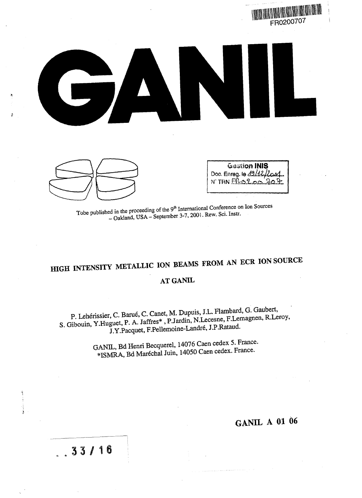

Tobe published in the proceeding of the 9<sup>th</sup> International Conference on Ion Sources<br>Tobe published in the proceeding of the 9<sup>th</sup> International Conference on Ion Sources ed in the proceeding of the 9" International Conference of<br>- Oakland, USA – September 3-7, 2001. Rew. Sci. Instr.

# HIGH INTENSITY METALLIC ION BEAMS FROM AN ECR ION SOURCE **AT GANIL**

P. Lehérissier, C. Barué, C. Canet, M. Dupuis, J.L. Flambard, G. Gaubert, S. Gibouin, Y.Huguet, P. A. Jaffres\*, P.Jardin, N.Lecesne, F.Lemagnen, R.Leroy,<br>J.Y.Pacquet, F.Pellemoine-Landré, J.P.Rataud.

> GANIL, Bd Henri Becquerel, 14076 Caen cedex 5. France. \*ISMRA, Bd Marechal Juin, 14050 Caen cedex. France.

## **GANIL A 01 06**

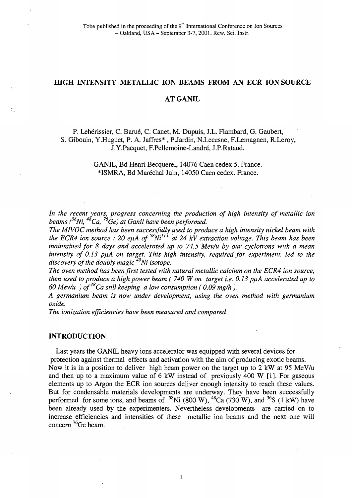## **HIGH INTENSITY METALLIC ION BEAMS FROM AN ECR ION SOURCE**

## **AT GANIL**

## P. Lehérissier, C. Barué, C. Canet, M. Dupuis, J.L. Flambard, G. Gaubert, S. Gibouin, Y.Huguet, P. A. Jaffres\* , P.Jardin, N.Lecesne, F.Lemagnen, R.Leroy, J.Y.Pacquet, F.Pellemoine-Landré, J.P.Rataud.

## GANIL, Bd Henri Becquerel, 14076 Caen cedex 5. France. \*ISMRA, Bd Maréchal Juin, 14050 Caen cedex. France.

*In the recent years, progress concerning the production of high intensity of metallic ion beams (<sup>58</sup>Ni,<sup>48</sup>Ca,<sup>76</sup>Ge) at Ganil have been performed.*

*The MIVOC method has been successfully used to produce a high intensity nickel beam with the ECR4 ion source : 20 eµA of*  $58$ *Ni<sup>11+</sup>* at 24 kV extraction voltage. This beam has been *maintained for 8 days and accelerated up to 74.5 Mev/u by our cyclotrons with a mean* intensity of 0.13 puA on target. This high intensity, required for experiment, led to the *discovery of the doubly magic<sup>48</sup>Ni isotope.*

*The oven method has been first tested with natural metallic calcium on the ECR4 ion source, then used to produce a high power beam (740 W on target i.e. 0.13 puA accelerated up to 60 Mev/u ) of<sup>48</sup>Ca still keeping a low consumption ( 0.09 mg/h ).*

*A germanium beam is now under development, using the oven method with germanium oxide.*

*The ionization efficiencies have been measured and compared*

#### **INTRODUCTION**

ø.

Last years the GANIL heavy ions accelerator was equipped with several devices for protection against thermal effects and activation with the aim of producing exotic beams.

Now it is in a position to deliver high beam power on the target up to 2 kW at 95 MeV/u and then up to a maximum value of 6 kW instead of previously 400 W [1]. For gaseous elements up to Argon the ECR ion sources deliver enough intensity to reach these values. But for condensable materials developments are underway. They have been successfully performed for some ions, and beams of  $^{58}$ Ni (800 W),  $^{48}$ Ca (730 W), and  $^{36}$ S (1 kW) have been already used by the experimenters. Nevertheless developments are carried on to increase efficiencies and intensities of these metallic ion beams and the next one will concern  ${}^{76}$ Ge beam.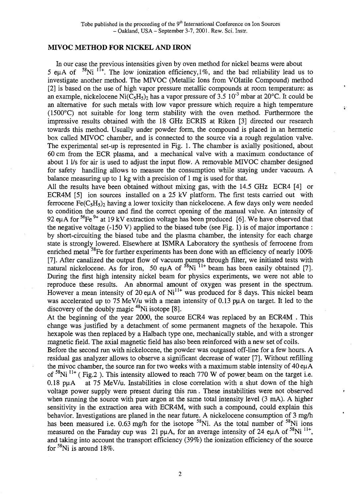## **MIVOC METHOD FOR NICKEL AND IRON**

In our case the previous intensities given by oven method for nickel beams were about 5 eµA of  $58$ Ni  $11+$ . The low ionization efficiency, 1%, and the bad reliability lead us to investigate another method. The MIVOC (Metallic Ions from Volatile Compound) method [2] is based on the use of high vapor pressure metallic compounds at room temperature: as an example, nickelocene Ni $(\overline{C_5H_5})_2$  has a vapor pressure of 3.5 10<sup>-3</sup> mbar at 20°C. It could be an alternative for such metals with low vapor pressure which require a high temperature (1500°C) not suitable for long term stability with the oven method. Furthermore the impressive results obtained with the 18 GHz ECRIS at Riken [3] directed our research towards this method. Usually under powder form, the compound is placed in an hermetic box called MIVOC chamber, and is connected to the source via a rough regulation valve. The experimental set-up is represented in Fig. 1. The chamber is axially positioned, about 60 cm from the ECR plasma, and a mechanical valve with a maximum conductance of about 11/s for air is used to adjust the input flow. A removable MIVOC chamber designed for safety handling allows to measure the consumption while staying under vacuum. A balance measuring up to 1 kg with a precision of 1 mg is used for that.

All the results have been obtained without mixing gas, with the 14.5 GHz ECR4 [4] or ECR4M [5] ion sources installed on a 25 kV platform. The first tests carried out with ferrocene Fe( $C_5H_5$ )<sub>2</sub> having a lower toxicity than nickelocene. A few days only were needed to condition the source and find the correct opening of the manual valve. An intensity of 92 eu A for  ${}^{56}Fe$ <sup>9+</sup> at 19 kV extraction voltage has been produced [6]. We have observed that the negative voltage (-150 V) applied to the biased tube (see Fig. 1) is of major importance : by short-circuiting the biased tube and the plasma chamber, the intensity for each charge state is strongly lowered. Elsewhere at ISMRA Laboratory the synthesis of ferrocene from enriched metal <sup>58</sup>Fe for further experiments has been done with an efficiency of nearly 100% [7]. After canalized the output flow of vacuum pumps through filter, we initiated tests with natural nickelocene. As for iron, 50 euA of  $^{58}$ Ni<sup>11+</sup> beam has been easily obtained [7] During the first high intensity nickel beam for physics experiments, we were not able to reproduce these results. An abnormal amount of oxygen was present in the spectrum. However a mean intensity of  $20 \text{ euA}$  of  $\text{Ni}^{11+}$  was produced for 8 days. This nickel beam was accelerated up to 75 MeV/u with a mean intensity of 0.13 puA on target. It led to the  $\frac{1}{2}$  are determined up to  $\frac{1}{2}$  and  $\frac{1}{2}$ .

At the beginning of the year 2000, the source ECR4 was replaced by an ECR4M . This change was justified by a detachment of some permanent magnets of the hexapole. This hexapole was then replaced by a Halbach type one, mechanically stable, and with a stronger magnetic field. The axial magnetic field has also been reinforced with a new set of coils.

Before the second run with nickelocene, the powder was outgased off-line for a few hours. A residual gas analyzer allows to observe a significant decrease of water [7]. Without refilling the mivoc chamber, the source ran for two weeks with a maximum stable intensity of 40euA of  $58$ Ni<sup>11+</sup> (Fig.2). This intensity allowed to reach 770 W of power beam on the target i.e. 0.18 puA at 75 MeV/u. Instabilities in close correlation with a shut down of the high voltage power supply were present during this run. These instabilities were not observed when running the source with pure argon at the same total intensity level  $(3 \text{ mA})$ . A higher sensitivity in the extraction area with ECR4M, with such a compound, could explain this behavior. Investigations are planed in the near future. A nickelocene consumption of 3 mg/h has been measured i.e.  $0.63$  mg/h for the isotope <sup>58</sup>Ni. As the total number of <sup>58</sup>Ni ions measured on the Faraday cup was 21 puA, for an average intensity of 24 euA of  ${}^{58}$ Ni<sup>11+</sup>, and taking into account the transport efficiency (39%) the ionization efficiency of the source for  $58$ Ni is around 18%.

 $\overline{2}$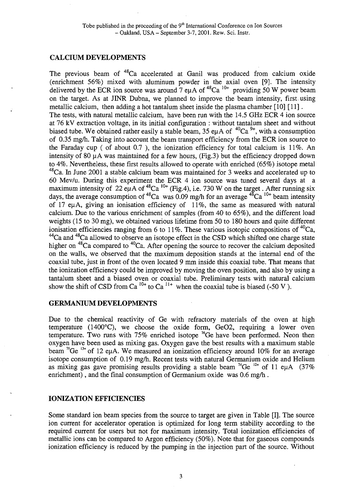## **CALCIUM DEVELOPMENTS**

The previous beam of <sup>48</sup>Ca accelerated at Ganil was produced from calcium oxide (enrichment 56%) mixed with aluminum powder in the axial oven [9]. The intensity delivered by the ECR ion source was around 7 eµA of <sup>48</sup>Ca <sup>10+</sup> providing 50 W power beam on the target. As at JINR Dubna, we planned to improve the beam intensity, first, using metallic calcium, then adding a hot tantalum sheet inside the plasma chamber [10] [11]. The tests, with natural metallic calcium, have been run with the 14.5 GHz ECR 4 ion source at 76 kV extraction voltage, in its initial configuration : without tantalum sheet and without biased tube. We obtained rather easily a stable beam, 35 eu A of  ${}^{40}Ca$ <sup>9+</sup>, with a consumption of 0.35 mg/h. Taking into account the beam transport efficiency from the ECR ion source to the Faraday cup ( of about 0.7 ), the ionization efficiency for total calcium is 11%. An intensity of 80 uA was maintained for a few hours, (Fig.3) but the efficiency dropped down to 4%. Nevertheless, these first results allowed to operate with enriched (65%) isotope metal  $48$ Ca. In June 2001 a stable calcium beam was maintained for 3 weeks and accelerated up to 60 Mev/u. During this experiment the ECR 4 ion source was tuned several days at a maximum intensity of 22 eu A of <sup>48</sup>Ca <sup>10+</sup> (Fig.4), i.e. 730 W on the target. After running six days, the average consumption of <sup>48</sup>Ca was 0.09 mg/h for an average <sup>48</sup>Ca <sup>10+</sup> beam intensity of 17 euA, giving an ionisation efficiency of 11%, the same as measured with natural calcium. Due to the various enrichment of samples (from 40 to 65%), and the different load weights (15 to 30 mg), we obtained various lifetime from 50 to 180 hours and quite different ionisation efficiencies ranging from 6 to 11%. These various isotopic compositions of  $^{40}Ca$ , <sup>44</sup>Ca and <sup>48</sup>Ca allowed to observe an isotope effect in the CSD which shifted one charge state higher on  $^{48}$ Ca compared to  $^{40}$ Ca. After opening the source to recover the calcium deposited on the walls, we observed that the maximum deposition stands at the internal end of the coaxial tube, just in front of the oven located 9 mm inside this coaxial tube. That means that the ionization efficiency could be improved by moving the oven position, and also by using a tantalum sheet and a biased oven or coaxial tube. Preliminary tests with natural calcium show the shift of CSD from Ca<sup> $10+$ </sup> to Ca<sup> $11+$ </sup> when the coaxial tube is biased (-50 V).

#### **GERMANIUM DEVELOPMENTS**

Due to the chemical reactivity of Ge with refractory materials of the oven at high temperature (1400°C), we choose the oxide form, GeO2, requiring a lower oven temperature. Two runs with 75% enriched isotope <sup>76</sup>Ge have been performed. Neon then oxygen have been used as mixing gas. Oxygen gave the best results with a maximum stable beam <sup>76</sup>Ge <sup>13+</sup> of 12 eµA. We measured an ionization efficiency around 10% for an average isotope consumption of 0.19 mg/h. Recent tests with natural Germanium oxide and Helium as mixing gas gave promising results providing a stable beam  $^{74}$ Ge  $^{12+}$  of 11 euA (37%) enrichment), and the final consumption of Germanium oxide was 0.6 mg/h .

## **IONIZATION EFFICIENCIES**

Some standard ion beam species from the source to target are given in Table [I]. The source ion current for accelerator operation is optimized for long term stability according to the required current for users but not for maximum intensity. Total ionization efficiencies of metallic ions can be compared to Argon efficiency (50%). Note that for gaseous compounds ionization efficiency is reduced by the pumping in the injection part of the source. Without

3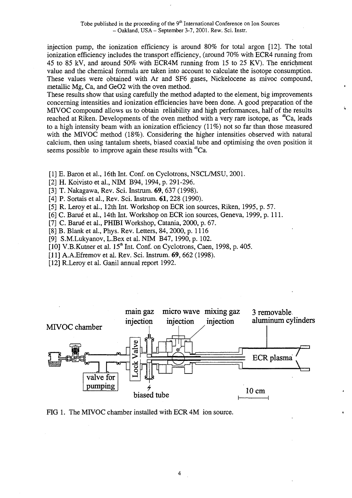injection pump, the ionization efficiency is around 80% for total argon [12]. The total ionization efficiency includes the transport efficiency, (around 70% with ECR4 running from 45 to 85 kV, and around 50% with ECR4M running from 15 to 25 KV). The enrichment value and the chemical formula are taken into account to calculate the isotope consumption. These values were obtained with Ar and SF6 gases, Nickelocene as mivoc compound, metallic Mg, Ca, and GeO2 with the oven method.

These results show that using carefully the method adapted to the element, big improvements concerning intensities and ionization efficiencies have been done. A good preparation of the MIVOC compound allows us to obtain reliability and high performances, half of the results reached at Riken. Developments of the oven method with a very rare isotope, as <sup>48</sup>Ca, leads to a high intensity beam with an ionization efficiency (11%) not so far than those measured with the MIVOC method (18%). Considering the higher intensities observed with natural calcium, then using tantalum sheets, biased coaxial tube and optimising the oven position it seems possible to improve again these results with <sup>48</sup>Ca.

- [1] E. Baron et al., 16th Int. Conf. on Cyclotrons, NSCL/MSU, 2001.
- [2] H. Koivisto et al., NIM B94,1994, p. 291-296.
- [3] T. Nakagawa, Rev. Sci. Instrum. 69, 637 (1998).
- [4] P. Sortais et al., Rev. Sci. Instrum. **61**, 228 (1990).
- [5] R. Leroy et al., 12th Int. Workshop on ECR ion sources, Riken, 1995, p. 57.
- [6] C. Barue et al., 14th Int. Workshop on ECR ion sources, Geneva, 1999, p. 111.
- [7] C. Barué et al., PHIBI Workshop, Catania, 2000, p. 67.
- [8] B. Blank et al., Phys. Rev. Letters, 84,2000, p. 1116
- [9] S.M.Lukyanov, L.Bex et al. NIM B47,1990, p. 102.
- [10] V.B.Kutner et al. 15<sup>th</sup> Int. Conf. on Cyclotrons, Caen, 1998, p. 405.
- [11] A.A. Efremov et al. Rev. Sci. Instrum. 69, 662 (1998).
- [12] R.Leroy et al. Ganil annual report 1992.



FIG 1. The MIVOC chamber installed with ECR 4M ion source.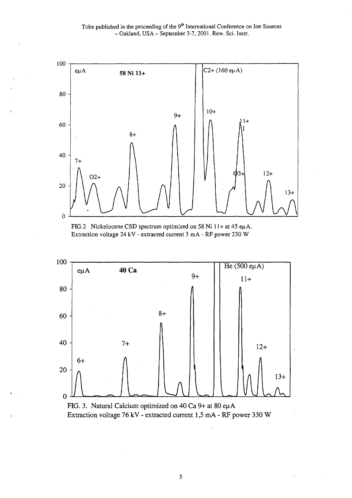Tobe published in the proceeding of the 9<sup>th</sup> International Conference on Ion Sources - Oakland, USA - September 3-7, 2001. Rew. Sci. Instr.



FIG.2 Nickelocene CSD spectrum optimised on 58 Ni 11+ at 45 ep A. Extraction voltage 24 kV - extracred current 3 mA - RF power 230 W





 $\sqrt{5}$